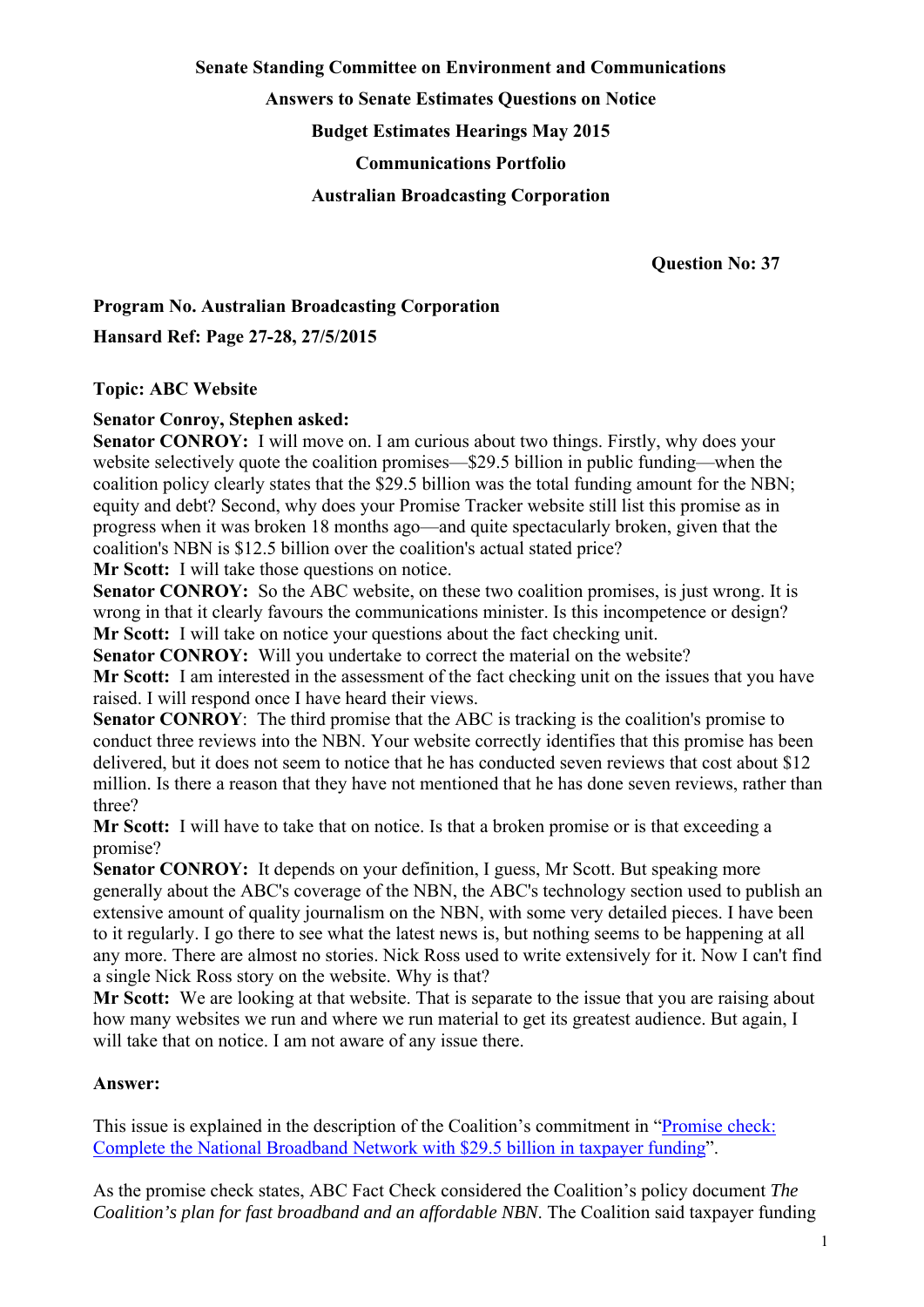# **Senate Standing Committee on Environment and Communications Answers to Senate Estimates Questions on Notice Budget Estimates Hearings May 2015 Communications Portfolio Australian Broadcasting Corporation**

 **Question No: 37** 

### **Program No. Australian Broadcasting Corporation Hansard Ref: Page 27-28, 27/5/2015**

### **Topic: ABC Website**

### **Senator Conroy, Stephen asked:**

**Senator CONROY:** I will move on. I am curious about two things. Firstly, why does your website selectively quote the coalition promises—\$29.5 billion in public funding—when the coalition policy clearly states that the \$29.5 billion was the total funding amount for the NBN; equity and debt? Second, why does your Promise Tracker website still list this promise as in progress when it was broken 18 months ago—and quite spectacularly broken, given that the coalition's NBN is \$12.5 billion over the coalition's actual stated price?

**Mr Scott:** I will take those questions on notice.

**Senator CONROY:** So the ABC website, on these two coalition promises, is just wrong. It is wrong in that it clearly favours the communications minister. Is this incompetence or design? **Mr Scott:** I will take on notice your questions about the fact checking unit.

**Senator CONROY:** Will you undertake to correct the material on the website? **Mr Scott:** I am interested in the assessment of the fact checking unit on the issues that you have raised. I will respond once I have heard their views.

**Senator CONROY:** The third promise that the ABC is tracking is the coalition's promise to conduct three reviews into the NBN. Your website correctly identifies that this promise has been delivered, but it does not seem to notice that he has conducted seven reviews that cost about \$12 million. Is there a reason that they have not mentioned that he has done seven reviews, rather than three?

**Mr Scott:** I will have to take that on notice. Is that a broken promise or is that exceeding a promise?

**Senator CONROY:** It depends on your definition, I guess, Mr Scott. But speaking more generally about the ABC's coverage of the NBN, the ABC's technology section used to publish an extensive amount of quality journalism on the NBN, with some very detailed pieces. I have been to it regularly. I go there to see what the latest news is, but nothing seems to be happening at all any more. There are almost no stories. Nick Ross used to write extensively for it. Now I can't find a single Nick Ross story on the website. Why is that?

**Mr Scott:** We are looking at that website. That is separate to the issue that you are raising about how many websites we run and where we run material to get its greatest audience. But again, I will take that on notice. I am not aware of any issue there.

#### **Answer:**

This issue is explained in the description of the Coalition's commitment in "Promise check: Complete the National Broadband Network with \$29.5 billion in taxpayer funding".

As the promise check states, ABC Fact Check considered the Coalition's policy document *The Coalition's plan for fast broadband and an affordable NBN*. The Coalition said taxpayer funding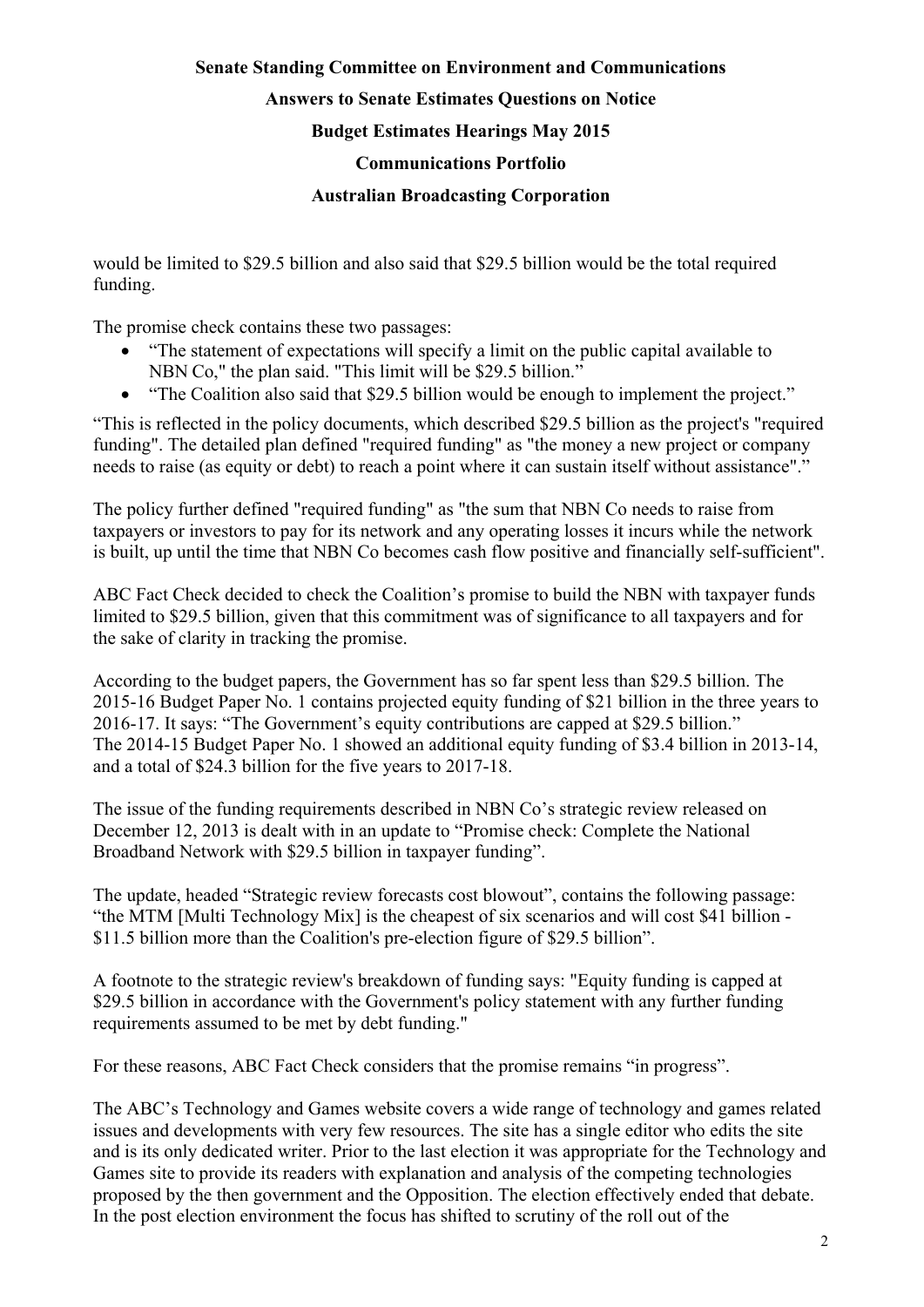### **Senate Standing Committee on Environment and Communications Answers to Senate Estimates Questions on Notice Budget Estimates Hearings May 2015 Communications Portfolio Australian Broadcasting Corporation**

would be limited to \$29.5 billion and also said that \$29.5 billion would be the total required funding.

The promise check contains these two passages:

- "The statement of expectations will specify a limit on the public capital available to NBN Co," the plan said. "This limit will be \$29.5 billion."
- "The Coalition also said that \$29.5 billion would be enough to implement the project."

"This is reflected in the policy documents, which described \$29.5 billion as the project's "required funding". The detailed plan defined "required funding" as "the money a new project or company needs to raise (as equity or debt) to reach a point where it can sustain itself without assistance"."

The policy further defined "required funding" as "the sum that NBN Co needs to raise from taxpayers or investors to pay for its network and any operating losses it incurs while the network is built, up until the time that NBN Co becomes cash flow positive and financially self-sufficient".

ABC Fact Check decided to check the Coalition's promise to build the NBN with taxpayer funds limited to \$29.5 billion, given that this commitment was of significance to all taxpayers and for the sake of clarity in tracking the promise.

According to the budget papers, the Government has so far spent less than \$29.5 billion. The 2015-16 Budget Paper No. 1 contains projected equity funding of \$21 billion in the three years to 2016-17. It says: "The Government's equity contributions are capped at \$29.5 billion." The 2014-15 Budget Paper No. 1 showed an additional equity funding of \$3.4 billion in 2013-14, and a total of \$24.3 billion for the five years to 2017-18.

The issue of the funding requirements described in NBN Co's strategic review released on December 12, 2013 is dealt with in an update to "Promise check: Complete the National Broadband Network with \$29.5 billion in taxpayer funding".

The update, headed "Strategic review forecasts cost blowout", contains the following passage: "the MTM [Multi Technology Mix] is the cheapest of six scenarios and will cost \$41 billion - \$11.5 billion more than the Coalition's pre-election figure of \$29.5 billion".

A footnote to the strategic review's breakdown of funding says: "Equity funding is capped at \$29.5 billion in accordance with the Government's policy statement with any further funding requirements assumed to be met by debt funding."

For these reasons, ABC Fact Check considers that the promise remains "in progress".

The ABC's Technology and Games website covers a wide range of technology and games related issues and developments with very few resources. The site has a single editor who edits the site and is its only dedicated writer. Prior to the last election it was appropriate for the Technology and Games site to provide its readers with explanation and analysis of the competing technologies proposed by the then government and the Opposition. The election effectively ended that debate. In the post election environment the focus has shifted to scrutiny of the roll out of the